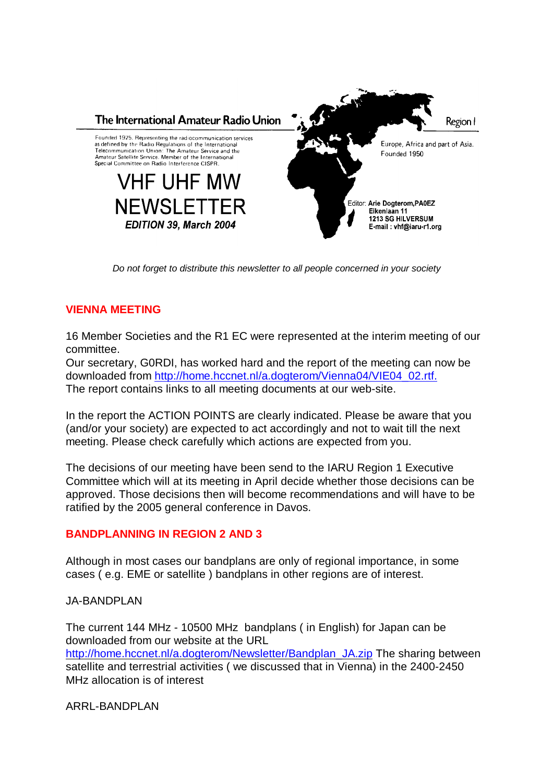

*Do not forget to distribute this newsletter to all people concerned in your society*

## **VIENNA MEETING**

16 Member Societies and the R1 EC were represented at the interim meeting of our committee.

Our secretary, G0RDI, has worked hard and the report of the meeting can now be downloaded from http://home.hccnet.nl/a.dogterom/Vienna04/VIE04\_02.rtf. The report contains links to all meeting documents at our web-site.

In the report the ACTION POINTS are clearly indicated. Please be aware that you (and/or your society) are expected to act accordingly and not to wait till the next meeting. Please check carefully which actions are expected from you.

The decisions of our meeting have been send to the IARU Region 1 Executive Committee which will at its meeting in April decide whether those decisions can be approved. Those decisions then will become recommendations and will have to be ratified by the 2005 general conference in Davos.

## **BANDPLANNING IN REGION 2 AND 3**

Although in most cases our bandplans are only of regional importance, in some cases ( e.g. EME or satellite ) bandplans in other regions are of interest.

JA-BANDPLAN

The current 144 MHz - 10500 MHz bandplans ( in English) for Japan can be downloaded from our website at the URL http://home.hccnet.nl/a.dogterom/Newsletter/Bandplan\_JA.zip The sharing between satellite and terrestrial activities ( we discussed that in Vienna) in the 2400-2450 MHz allocation is of interest

ARRL-BANDPLAN